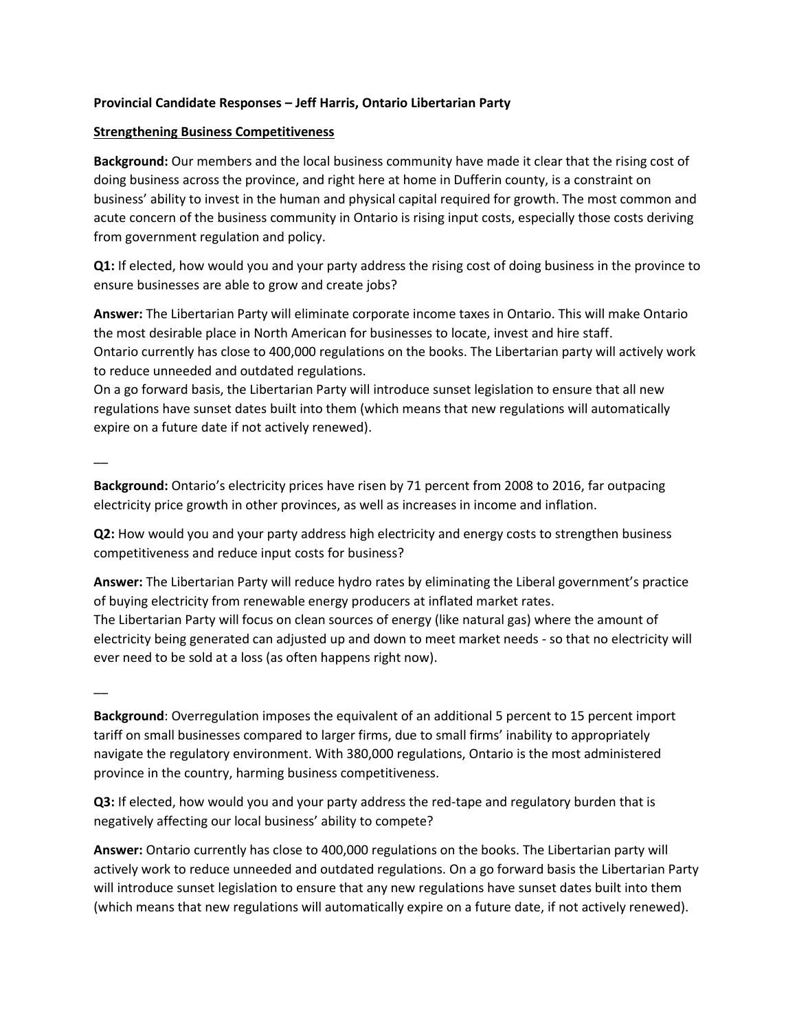## **Provincial Candidate Responses – Jeff Harris, Ontario Libertarian Party**

### **Strengthening Business Competitiveness**

**Background:** Our members and the local business community have made it clear that the rising cost of doing business across the province, and right here at home in Dufferin county, is a constraint on business' ability to invest in the human and physical capital required for growth. The most common and acute concern of the business community in Ontario is rising input costs, especially those costs deriving from government regulation and policy.

**Q1:** If elected, how would you and your party address the rising cost of doing business in the province to ensure businesses are able to grow and create jobs?

**Answer:** The Libertarian Party will eliminate corporate income taxes in Ontario. This will make Ontario the most desirable place in North American for businesses to locate, invest and hire staff. Ontario currently has close to 400,000 regulations on the books. The Libertarian party will actively work to reduce unneeded and outdated regulations.

On a go forward basis, the Libertarian Party will introduce sunset legislation to ensure that all new regulations have sunset dates built into them (which means that new regulations will automatically expire on a future date if not actively renewed).

 $\overline{\phantom{a}}$ 

**Background:** Ontario's electricity prices have risen by 71 percent from 2008 to 2016, far outpacing electricity price growth in other provinces, as well as increases in income and inflation.

**Q2:** How would you and your party address high electricity and energy costs to strengthen business competitiveness and reduce input costs for business?

**Answer:** The Libertarian Party will reduce hydro rates by eliminating the Liberal government's practice of buying electricity from renewable energy producers at inflated market rates. The Libertarian Party will focus on clean sources of energy (like natural gas) where the amount of electricity being generated can adjusted up and down to meet market needs - so that no electricity will ever need to be sold at a loss (as often happens right now).

 $\overline{\phantom{a}}$ 

**Background**: Overregulation imposes the equivalent of an additional 5 percent to 15 percent import tariff on small businesses compared to larger firms, due to small firms' inability to appropriately navigate the regulatory environment. With 380,000 regulations, Ontario is the most administered province in the country, harming business competitiveness.

**Q3:** If elected, how would you and your party address the red-tape and regulatory burden that is negatively affecting our local business' ability to compete?

**Answer:** Ontario currently has close to 400,000 regulations on the books. The Libertarian party will actively work to reduce unneeded and outdated regulations. On a go forward basis the Libertarian Party will introduce sunset legislation to ensure that any new regulations have sunset dates built into them (which means that new regulations will automatically expire on a future date, if not actively renewed).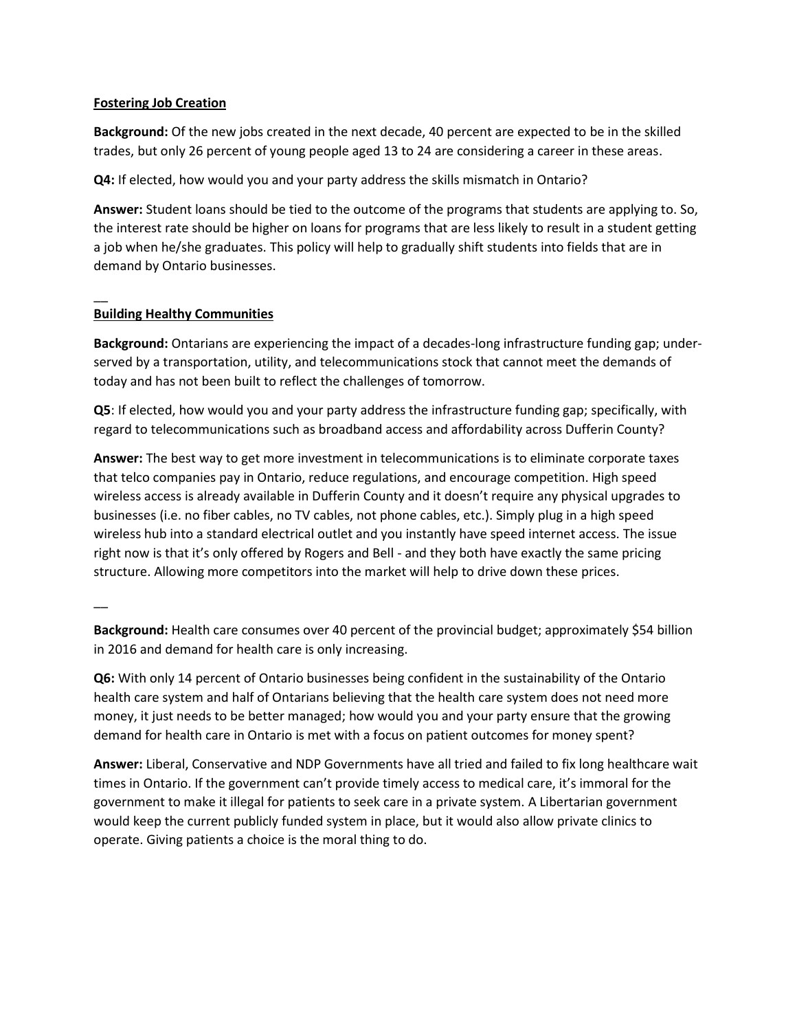### **Fostering Job Creation**

**Background:** Of the new jobs created in the next decade, 40 percent are expected to be in the skilled trades, but only 26 percent of young people aged 13 to 24 are considering a career in these areas.

**Q4:** If elected, how would you and your party address the skills mismatch in Ontario?

**Answer:** Student loans should be tied to the outcome of the programs that students are applying to. So, the interest rate should be higher on loans for programs that are less likely to result in a student getting a job when he/she graduates. This policy will help to gradually shift students into fields that are in demand by Ontario businesses.

# **Building Healthy Communities**

**Background:** Ontarians are experiencing the impact of a decades-long infrastructure funding gap; underserved by a transportation, utility, and telecommunications stock that cannot meet the demands of today and has not been built to reflect the challenges of tomorrow.

**Q5**: If elected, how would you and your party address the infrastructure funding gap; specifically, with regard to telecommunications such as broadband access and affordability across Dufferin County?

**Answer:** The best way to get more investment in telecommunications is to eliminate corporate taxes that telco companies pay in Ontario, reduce regulations, and encourage competition. High speed wireless access is already available in Dufferin County and it doesn't require any physical upgrades to businesses (i.e. no fiber cables, no TV cables, not phone cables, etc.). Simply plug in a high speed wireless hub into a standard electrical outlet and you instantly have speed internet access. The issue right now is that it's only offered by Rogers and Bell - and they both have exactly the same pricing structure. Allowing more competitors into the market will help to drive down these prices.

 $\overline{\phantom{a}}$ 

 $\overline{\phantom{a}}$ 

**Background:** Health care consumes over 40 percent of the provincial budget; approximately \$54 billion in 2016 and demand for health care is only increasing.

**Q6:** With only 14 percent of Ontario businesses being confident in the sustainability of the Ontario health care system and half of Ontarians believing that the health care system does not need more money, it just needs to be better managed; how would you and your party ensure that the growing demand for health care in Ontario is met with a focus on patient outcomes for money spent?

**Answer:** Liberal, Conservative and NDP Governments have all tried and failed to fix long healthcare wait times in Ontario. If the government can't provide timely access to medical care, it's immoral for the government to make it illegal for patients to seek care in a private system. A Libertarian government would keep the current publicly funded system in place, but it would also allow private clinics to operate. Giving patients a choice is the moral thing to do.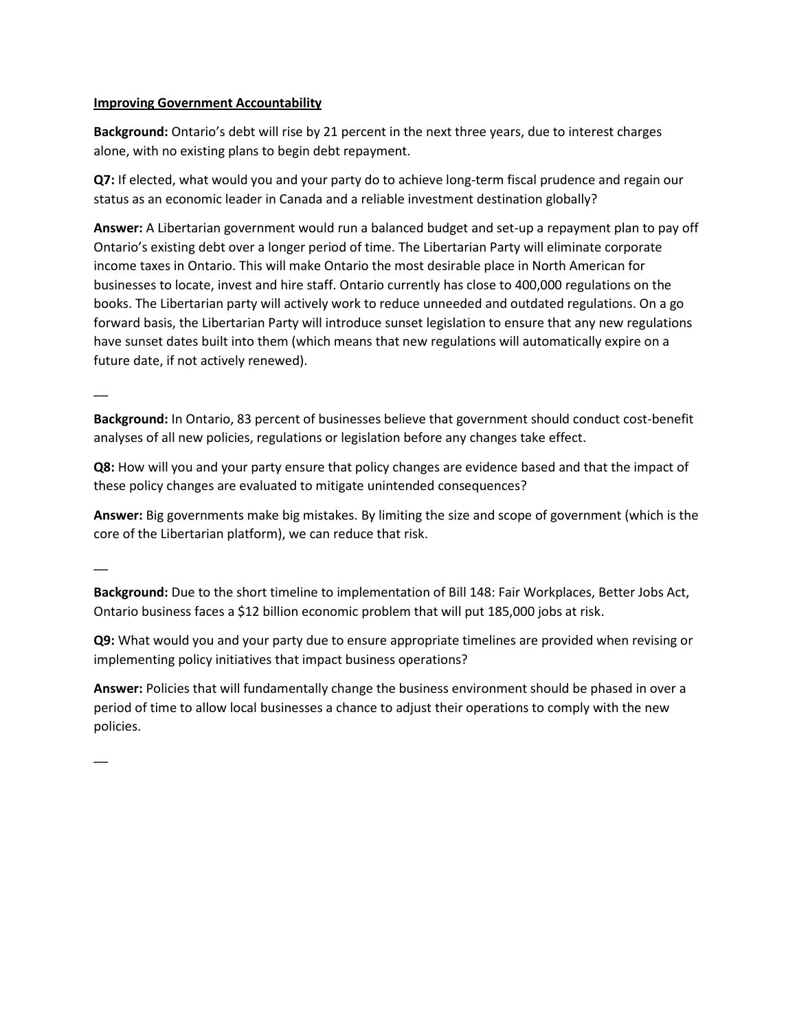### **Improving Government Accountability**

**Background:** Ontario's debt will rise by 21 percent in the next three years, due to interest charges alone, with no existing plans to begin debt repayment.

**Q7:** If elected, what would you and your party do to achieve long-term fiscal prudence and regain our status as an economic leader in Canada and a reliable investment destination globally?

**Answer:** A Libertarian government would run a balanced budget and set-up a repayment plan to pay off Ontario's existing debt over a longer period of time. The Libertarian Party will eliminate corporate income taxes in Ontario. This will make Ontario the most desirable place in North American for businesses to locate, invest and hire staff. Ontario currently has close to 400,000 regulations on the books. The Libertarian party will actively work to reduce unneeded and outdated regulations. On a go forward basis, the Libertarian Party will introduce sunset legislation to ensure that any new regulations have sunset dates built into them (which means that new regulations will automatically expire on a future date, if not actively renewed).

 $\overline{\phantom{a}}$ 

**Background:** In Ontario, 83 percent of businesses believe that government should conduct cost-benefit analyses of all new policies, regulations or legislation before any changes take effect.

**Q8:** How will you and your party ensure that policy changes are evidence based and that the impact of these policy changes are evaluated to mitigate unintended consequences?

**Answer:** Big governments make big mistakes. By limiting the size and scope of government (which is the core of the Libertarian platform), we can reduce that risk.

 $\overline{\phantom{a}}$ 

**Background:** Due to the short timeline to implementation of Bill 148: Fair Workplaces, Better Jobs Act, Ontario business faces a \$12 billion economic problem that will put 185,000 jobs at risk.

**Q9:** What would you and your party due to ensure appropriate timelines are provided when revising or implementing policy initiatives that impact business operations?

**Answer:** Policies that will fundamentally change the business environment should be phased in over a period of time to allow local businesses a chance to adjust their operations to comply with the new policies.

 $\overline{\phantom{a}}$